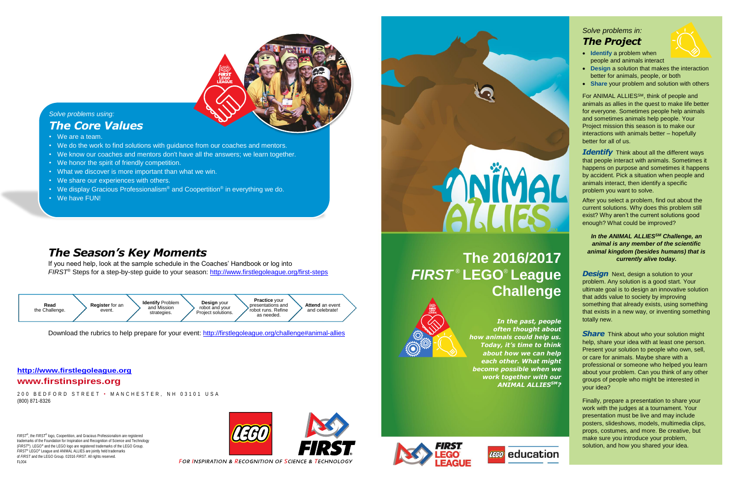# **The 2016/2017** *FIRST* ® **LEGO**® **League Challenge**



*FIRST*®, the *FIRST*® logo, Coopertition, and Gracious Professionalism are registered trademarks of the Foundation for Inspiration and Recognition of Science and Technology (*FIRST*®). LEGO® and the LEGO logo are registered trademarks of the LEGO Group. *FIRST*® LEGO® League and ANIMAL ALLIES are jointly held trademarks of *FIRST* and the LEGO Group. ©2016 *FIRST*. All rights reserved. FL004





**FOR INSPIRATION & RECOGNITION OF SCIENCE & TECHNOLOGY** 

# **ANIMAL** ATTES



### *Solve problems using: The Core Values*

200 BEDFORD STREET • MANCHESTER, NH 03101 USA (800) 871-8326

- We are a team.
- We do the work to find solutions with guidance from our coaches and mentors.
- We know our coaches and mentors don't have all the answers; we learn together.
- We honor the spirit of friendly competition.
- What we discover is more important than what we win.
- We share our experiences with others.
- We display Gracious Professionalism® and Coopertition® in everything we do.
- We have FUN!

#### **www.firstinspires.org**

- **Identify** a problem when people and animals interact
- **Design** a solution that makes the interaction better for animals, people, or both
- **Share** your problem and solution with others



**Identify** Think about all the different ways that people interact with animals. Sometimes it happens on purpose and sometimes it happens by accident. Pick a situation when people and animals interact, then identify a specific problem you want to solve.

Download the rubrics to help prepare for your event:<http://firstlegoleague.org/challenge#animal-allies>

## *The Season's Key Moments*

#### In the ANIMAL ALLIES<sup>SM</sup> Challenge, an *animal is any member of the scientific animal kingdom (besides humans) that is currently alive today.*

If you need help, look at the sample schedule in the Coaches' Handbook or log into *FIRST*® Steps for a step-by-step guide to your season:<http://www.firstlegoleague.org/first-steps>

**Design** Next, design a solution to your problem. Any solution is a good start. Your ultimate goal is to design an innovative solution that adds value to society by improving something that already exists, using something that exists in a new way, or inventing something totally new.

*In the past, people often thought about how animals could help us. Today, it's time to think about how we can help each other. What might become possible when we work together with our ANIMAL ALLIESSM?*





**Share** Think about who your solution might help, share your idea with at least one person. Present your solution to people who own, sell, or care for animals. Maybe share with a professional or someone who helped you learn about your problem. Can you think of any other groups of people who might be interested in your idea?

#### **[http://www.firstlegoleague.org](http://www.firstlegoleague.org/)**

## *Solve problems in: The Project*



For ANIMAL ALLIESSM, think of people and animals as allies in the quest to make life better for everyone. Sometimes people help animals and sometimes animals help people. Your Project mission this season is to make our interactions with animals better – hopefully better for all of us.

After you select a problem, find out about the current solutions. Why does this problem still exist? Why aren't the current solutions good enough? What could be improved?

Finally, prepare a presentation to share your work with the judges at a tournament. Your presentation must be live and may include posters, slideshows, models, multimedia clips, props, costumes, and more. Be creative, but make sure you introduce your problem, solution, and how you shared your idea.